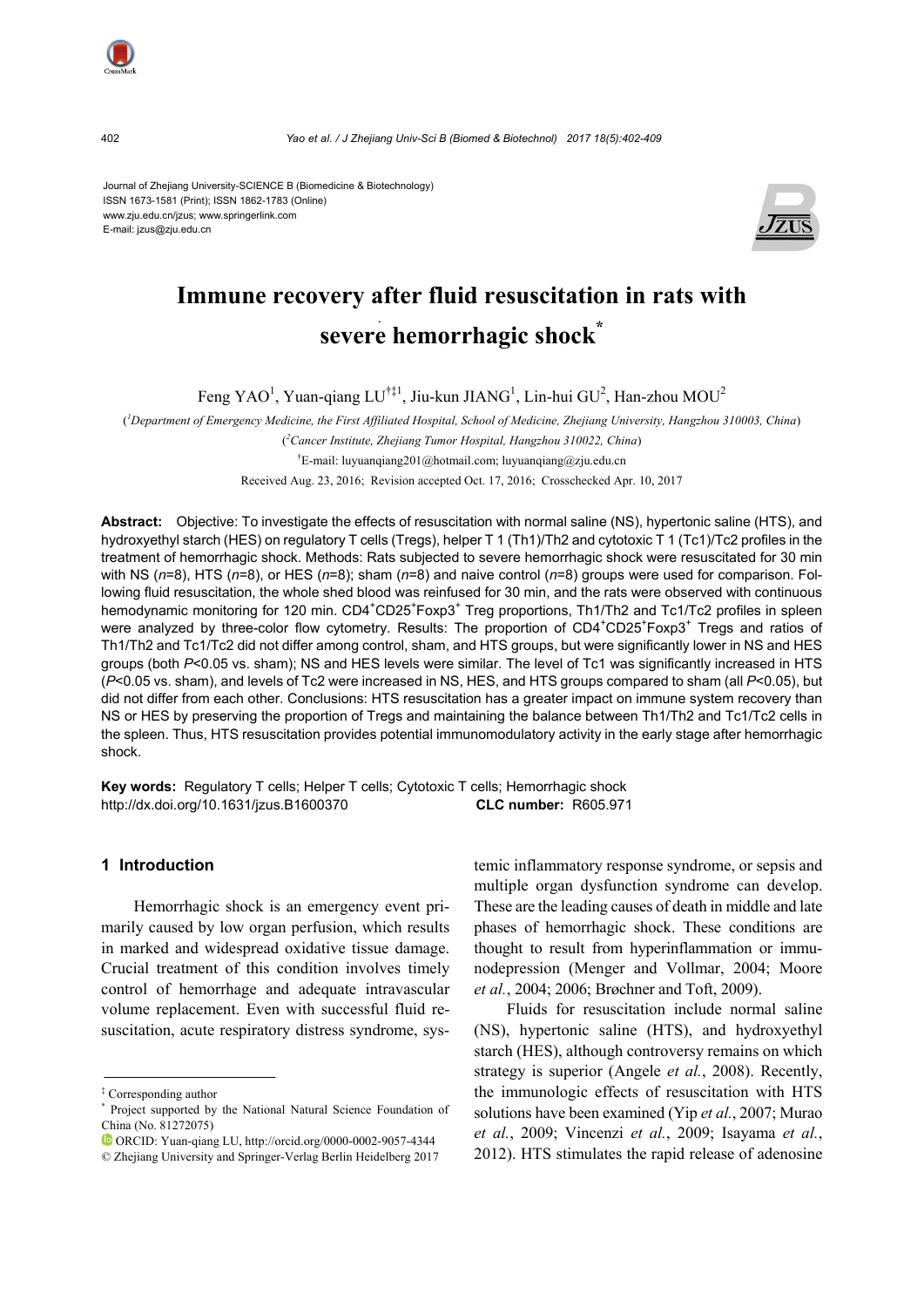Journal of Zhejiang University-SCIENCE B (Biomedicine & Biotechnology) ISSN 1673-1581 (Print); ISSN 1862-1783 (Online) www.zju.edu.cn/jzus; www.springerlink.com E-mail: jzus@zju.edu.cn



# **Immune recovery after fluid resuscitation in rats with severe hemorrhagic shock\***

Feng YAO<sup>1</sup>, Yuan-qiang LU<sup>†‡1</sup>, Jiu-kun JIANG<sup>1</sup>, Lin-hui GU<sup>2</sup>, Han-zhou MOU<sup>2</sup>

( *1 Department of Emergency Medicine, the First Affiliated Hospital, School of Medicine, Zhejiang University, Hangzhou 310003, China*)

( *2 Cancer Institute, Zhejiang Tumor Hospital, Hangzhou 310022, China*)

† E-mail: luyuanqiang201@hotmail.com; luyuanqiang@zju.edu.cn

Received Aug. 23, 2016; Revision accepted Oct. 17, 2016; Crosschecked Apr. 10, 2017

**Abstract:** Objective: To investigate the effects of resuscitation with normal saline (NS), hypertonic saline (HTS), and hydroxyethyl starch (HES) on regulatory T cells (Tregs), helper T 1 (Th1)/Th2 and cytotoxic T 1 (Tc1)/Tc2 profiles in the treatment of hemorrhagic shock. Methods: Rats subjected to severe hemorrhagic shock were resuscitated for 30 min with NS (*n*=8), HTS (*n*=8), or HES (*n*=8); sham (*n*=8) and naive control (*n*=8) groups were used for comparison. Following fluid resuscitation, the whole shed blood was reinfused for 30 min, and the rats were observed with continuous hemodynamic monitoring for 120 min. CD4<sup>+</sup>CD25<sup>+</sup>Foxp3<sup>+</sup> Treg proportions, Th1/Th2 and Tc1/Tc2 profiles in spleen were analyzed by three-color flow cytometry. Results: The proportion of CD4<sup>+</sup>CD25<sup>+</sup>Foxp3<sup>+</sup> Tregs and ratios of Th1/Th2 and Tc1/Tc2 did not differ among control, sham, and HTS groups, but were significantly lower in NS and HES groups (both P<0.05 vs. sham); NS and HES levels were similar. The level of Tc1 was significantly increased in HTS (*P*<0.05 vs. sham), and levels of Tc2 were increased in NS, HES, and HTS groups compared to sham (all *P*<0.05), but did not differ from each other. Conclusions: HTS resuscitation has a greater impact on immune system recovery than NS or HES by preserving the proportion of Tregs and maintaining the balance between Th1/Th2 and Tc1/Tc2 cells in the spleen. Thus, HTS resuscitation provides potential immunomodulatory activity in the early stage after hemorrhagic shock.

**Key words:** Regulatory T cells; Helper T cells; Cytotoxic T cells; Hemorrhagic shock http://dx.doi.org/10.1631/jzus.B1600370 **CLC number:** R605.971

# **1 Introduction**

Hemorrhagic shock is an emergency event primarily caused by low organ perfusion, which results in marked and widespread oxidative tissue damage. Crucial treatment of this condition involves timely control of hemorrhage and adequate intravascular volume replacement. Even with successful fluid resuscitation, acute respiratory distress syndrome, systemic inflammatory response syndrome, or sepsis and multiple organ dysfunction syndrome can develop. These are the leading causes of death in middle and late phases of hemorrhagic shock. These conditions are thought to result from hyperinflammation or immunodepression (Menger and Vollmar, 2004; Moore *et al.*, 2004; 2006; Brøchner and Toft, 2009).

Fluids for resuscitation include normal saline (NS), hypertonic saline (HTS), and hydroxyethyl starch (HES), although controversy remains on which strategy is superior (Angele *et al.*, 2008). Recently, the immunologic effects of resuscitation with HTS solutions have been examined (Yip *et al.*, 2007; Murao *et al.*, 2009; Vincenzi *et al.*, 2009; Isayama *et al.*, 2012). HTS stimulates the rapid release of adenosine



<sup>‡</sup> Corresponding author

<sup>\*</sup> Project supported by the National Natural Science Foundation of China (No. 81272075)

ORCID: Yuan-qiang LU, http://orcid.org/0000-0002-9057-4344

<sup>©</sup> Zhejiang University and Springer-Verlag Berlin Heidelberg 2017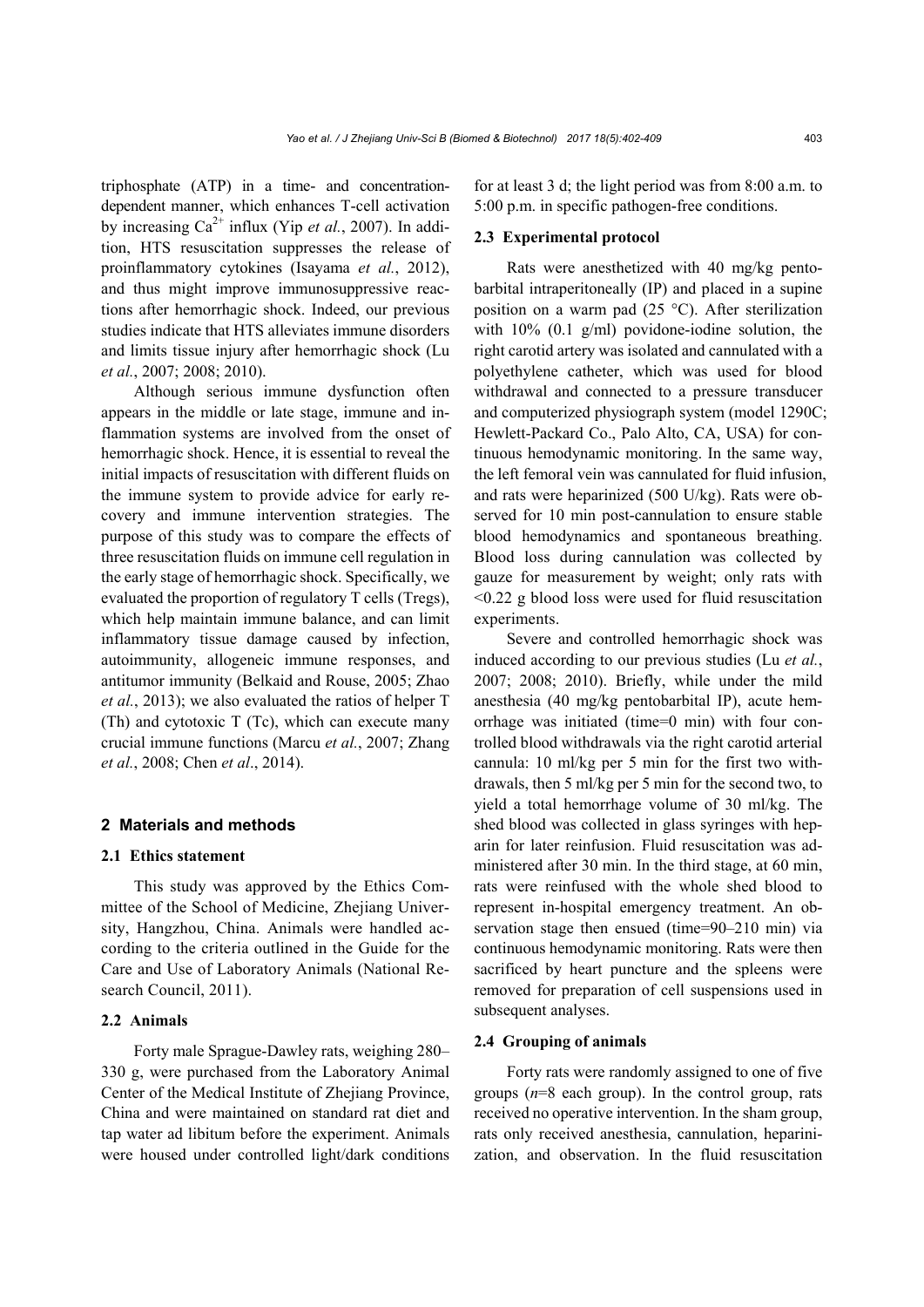triphosphate (ATP) in a time- and concentrationdependent manner, which enhances T-cell activation by increasing Ca<sup>2+</sup> influx (Yip *et al.*, 2007). In addition, HTS resuscitation suppresses the release of proinflammatory cytokines (Isayama *et al.*, 2012), and thus might improve immunosuppressive reactions after hemorrhagic shock. Indeed, our previous studies indicate that HTS alleviates immune disorders and limits tissue injury after hemorrhagic shock (Lu *et al.*, 2007; 2008; 2010).

Although serious immune dysfunction often appears in the middle or late stage, immune and inflammation systems are involved from the onset of hemorrhagic shock. Hence, it is essential to reveal the initial impacts of resuscitation with different fluids on the immune system to provide advice for early recovery and immune intervention strategies. The purpose of this study was to compare the effects of three resuscitation fluids on immune cell regulation in the early stage of hemorrhagic shock. Specifically, we evaluated the proportion of regulatory T cells (Tregs), which help maintain immune balance, and can limit inflammatory tissue damage caused by infection, autoimmunity, allogeneic immune responses, and antitumor immunity (Belkaid and Rouse, 2005; Zhao *et al.*, 2013); we also evaluated the ratios of helper T (Th) and cytotoxic T (Tc), which can execute many crucial immune functions (Marcu *et al.*, 2007; Zhang *et al.*, 2008; Chen *et al*., 2014).

# **2 Materials and methods**

# **2.1 Ethics statement**

This study was approved by the Ethics Committee of the School of Medicine, Zhejiang University, Hangzhou, China. Animals were handled according to the criteria outlined in the Guide for the Care and Use of Laboratory Animals (National Research Council, 2011).

#### **2.2 Animals**

Forty male Sprague-Dawley rats, weighing 280– 330 g, were purchased from the Laboratory Animal Center of the Medical Institute of Zhejiang Province, China and were maintained on standard rat diet and tap water ad libitum before the experiment. Animals were housed under controlled light/dark conditions for at least 3 d; the light period was from 8:00 a.m. to 5:00 p.m. in specific pathogen-free conditions.

#### **2.3 Experimental protocol**

Rats were anesthetized with 40 mg/kg pentobarbital intraperitoneally (IP) and placed in a supine position on a warm pad (25 °C). After sterilization with 10% (0.1 g/ml) povidone-iodine solution, the right carotid artery was isolated and cannulated with a polyethylene catheter, which was used for blood withdrawal and connected to a pressure transducer and computerized physiograph system (model 1290C; Hewlett-Packard Co., Palo Alto, CA, USA) for continuous hemodynamic monitoring. In the same way, the left femoral vein was cannulated for fluid infusion, and rats were heparinized (500 U/kg). Rats were observed for 10 min post-cannulation to ensure stable blood hemodynamics and spontaneous breathing. Blood loss during cannulation was collected by gauze for measurement by weight; only rats with <0.22 g blood loss were used for fluid resuscitation experiments.

Severe and controlled hemorrhagic shock was induced according to our previous studies (Lu *et al.*, 2007; 2008; 2010). Briefly, while under the mild anesthesia (40 mg/kg pentobarbital IP), acute hemorrhage was initiated (time=0 min) with four controlled blood withdrawals via the right carotid arterial cannula: 10 ml/kg per 5 min for the first two withdrawals, then 5 ml/kg per 5 min for the second two, to yield a total hemorrhage volume of 30 ml/kg. The shed blood was collected in glass syringes with heparin for later reinfusion. Fluid resuscitation was administered after 30 min. In the third stage, at 60 min, rats were reinfused with the whole shed blood to represent in-hospital emergency treatment. An observation stage then ensued (time=90–210 min) via continuous hemodynamic monitoring. Rats were then sacrificed by heart puncture and the spleens were removed for preparation of cell suspensions used in subsequent analyses.

#### **2.4 Grouping of animals**

Forty rats were randomly assigned to one of five groups (*n*=8 each group). In the control group, rats received no operative intervention. In the sham group, rats only received anesthesia, cannulation, heparinization, and observation. In the fluid resuscitation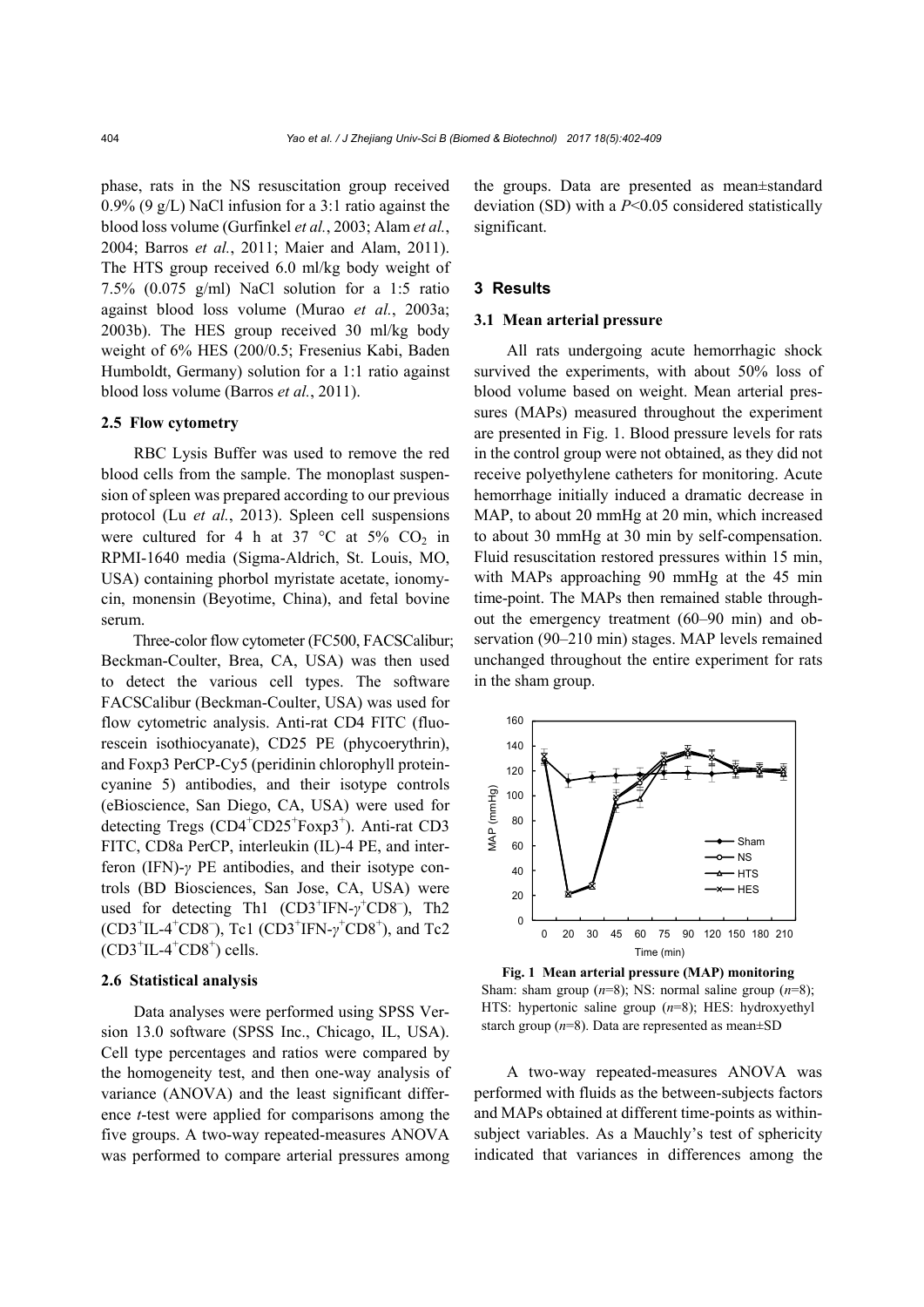phase, rats in the NS resuscitation group received 0.9% (9 g/L) NaCl infusion for a 3:1 ratio against the blood loss volume (Gurfinkel *et al.*, 2003; Alam *et al.*, 2004; Barros *et al.*, 2011; Maier and Alam, 2011). The HTS group received 6.0 ml/kg body weight of 7.5% (0.075 g/ml) NaCl solution for a 1:5 ratio against blood loss volume (Murao *et al.*, 2003a; 2003b). The HES group received 30 ml/kg body weight of 6% HES (200/0.5; Fresenius Kabi, Baden Humboldt, Germany) solution for a 1:1 ratio against blood loss volume (Barros *et al.*, 2011).

#### **2.5 Flow cytometry**

RBC Lysis Buffer was used to remove the red blood cells from the sample. The monoplast suspension of spleen was prepared according to our previous protocol (Lu *et al.*, 2013). Spleen cell suspensions were cultured for 4 h at 37 °C at 5%  $CO<sub>2</sub>$  in RPMI-1640 media (Sigma-Aldrich, St. Louis, MO, USA) containing phorbol myristate acetate, ionomycin, monensin (Beyotime, China), and fetal bovine serum.

Three-color flow cytometer (FC500, FACSCalibur; Beckman-Coulter, Brea, CA, USA) was then used to detect the various cell types. The software FACSCalibur (Beckman-Coulter, USA) was used for flow cytometric analysis. Anti-rat CD4 FITC (fluorescein isothiocyanate), CD25 PE (phycoerythrin), and Foxp3 PerCP-Cy5 (peridinin chlorophyll proteincyanine 5) antibodies, and their isotype controls (eBioscience, San Diego, CA, USA) were used for detecting Tregs (CD4<sup>+</sup>CD25<sup>+</sup>Foxp3<sup>+</sup>). Anti-rat CD3 FITC, CD8a PerCP, interleukin (IL)-4 PE, and interferon (IFN)-*γ* PE antibodies, and their isotype controls (BD Biosciences, San Jose, CA, USA) were used for detecting Th1 (CD3<sup>+</sup>IFN-γ<sup>+</sup>CD8<sup>-</sup>), Th2 (CD3<sup>+</sup>IL-4<sup>+</sup>CD8<sup>-</sup>), Tc1 (CD3<sup>+</sup>IFN-γ<sup>+</sup>CD8<sup>+</sup>), and Tc2  $(CD3+IL-4+CD8+$  cells.

# **2.6 Statistical analysis**

Data analyses were performed using SPSS Version 13.0 software (SPSS Inc., Chicago, IL, USA). Cell type percentages and ratios were compared by the homogeneity test, and then one-way analysis of variance (ANOVA) and the least significant difference *t*-test were applied for comparisons among the five groups. A two-way repeated-measures ANOVA was performed to compare arterial pressures among the groups. Data are presented as mean±standard deviation (SD) with a *P*<0.05 considered statistically significant.

# **3 Results**

#### **3.1 Mean arterial pressure**

All rats undergoing acute hemorrhagic shock survived the experiments, with about 50% loss of blood volume based on weight. Mean arterial pressures (MAPs) measured throughout the experiment are presented in Fig. 1. Blood pressure levels for rats in the control group were not obtained, as they did not receive polyethylene catheters for monitoring. Acute hemorrhage initially induced a dramatic decrease in MAP, to about 20 mmHg at 20 min, which increased to about 30 mmHg at 30 min by self-compensation. Fluid resuscitation restored pressures within 15 min, with MAPs approaching 90 mmHg at the 45 min time-point. The MAPs then remained stable throughout the emergency treatment (60–90 min) and observation (90–210 min) stages. MAP levels remained unchanged throughout the entire experiment for rats in the sham group.



**Fig. 1 Mean arterial pressure (MAP) monitoring**  Sham: sham group (*n*=8); NS: normal saline group (*n*=8); HTS: hypertonic saline group (*n*=8); HES: hydroxyethyl starch group (*n*=8). Data are represented as mean±SD

A two-way repeated-measures ANOVA was performed with fluids as the between-subjects factors and MAPs obtained at different time-points as withinsubject variables. As a Mauchly's test of sphericity indicated that variances in differences among the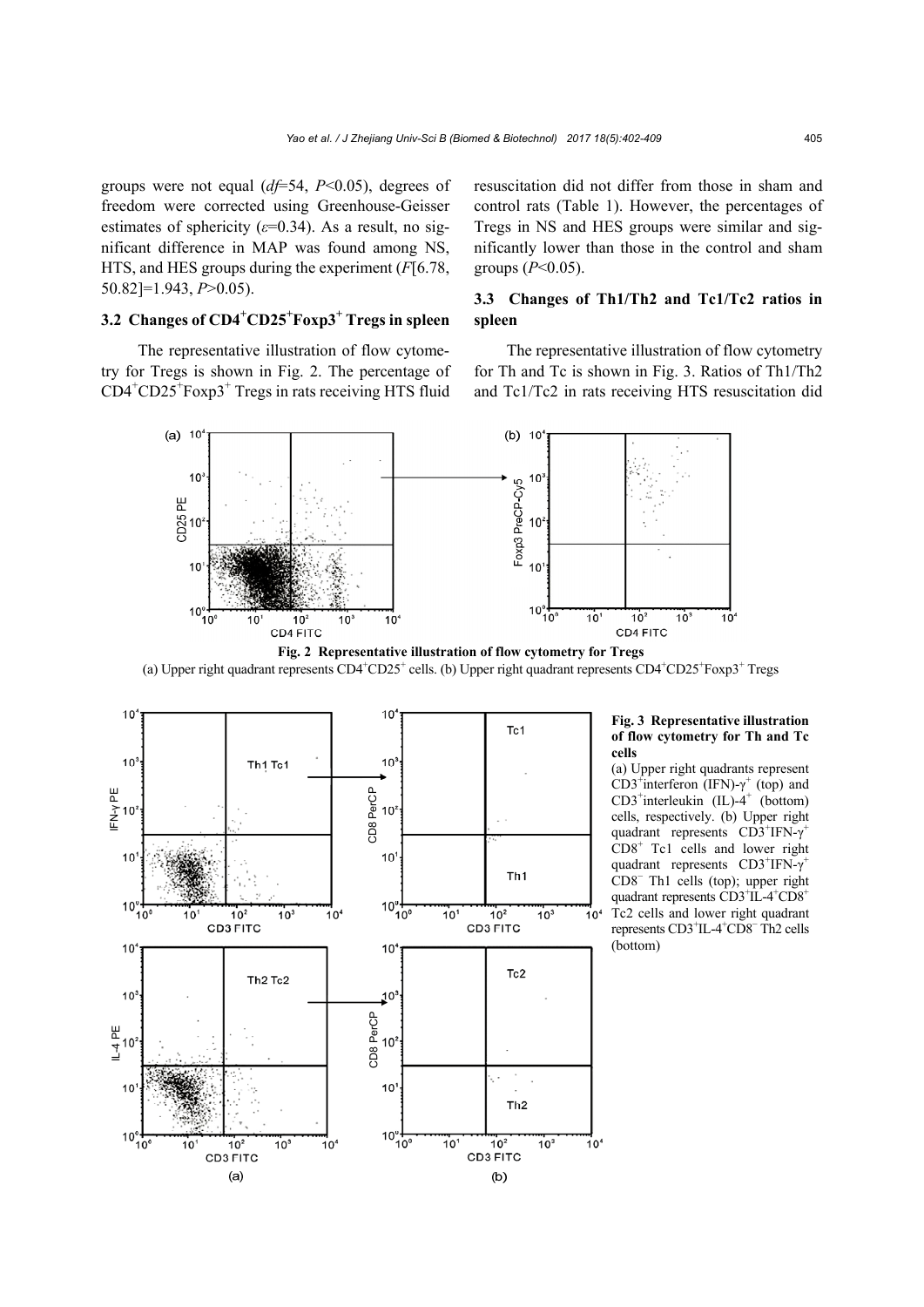groups were not equal (*df*=54, *P*<0.05), degrees of freedom were corrected using Greenhouse-Geisser estimates of sphericity (*ε*=0.34). As a result, no significant difference in MAP was found among NS, HTS, and HES groups during the experiment (*F*[6.78, 50.82]=1.943, *P*>0.05).

# **3.2 Changes of CD4<sup>+</sup> CD25+ Foxp3<sup>+</sup> Tregs in spleen**

 The representative illustration of flow cytometry for Tregs is shown in Fig. 2. The percentage of CD4<sup>+</sup> CD25<sup>+</sup> Foxp3<sup>+</sup> Tregs in rats receiving HTS fluid resuscitation did not differ from those in sham and control rats (Table 1). However, the percentages of Tregs in NS and HES groups were similar and significantly lower than those in the control and sham groups (*P*<0.05).

# **3.3 Changes of Th1/Th2 and Tc1/Tc2 ratios in spleen**

The representative illustration of flow cytometry for Th and Tc is shown in Fig. 3. Ratios of Th1/Th2 and Tc1/Tc2 in rats receiving HTS resuscitation did



**Fig. 2 Representative illustration of flow cytometry for Tregs**  (a) Upper right quadrant represents  $CD4^+CD25^+$  cells. (b) Upper right quadrant represents  $CD4^+CD25^+$  Foxp3<sup>+</sup> Tregs



#### **Fig. 3 Representative illustration of flow cytometry for Th and Tc cells**

(a) Upper right quadrants represent CD3<sup>+</sup>interferon (IFN)-γ<sup>+</sup> (top) and  $CD3^+$ interleukin (IL)-4<sup>+</sup> (bottom) cells, respectively. (b) Upper right quadrant represents CD3<sup>+</sup>IFN-γ<sup>+</sup>  $CDB<sup>+</sup>$  Tc1 cells and lower right quadrant represents  $CD3+TFN-\gamma^+$ CD8<sup>−</sup> Th1 cells (top); upper right quadrant represents  $\widehat{CD3}^+\widehat{IL}$ -4<sup>+</sup>CD8<sup>+</sup> Tc2 cells and lower right quadrant represents CD3<sup>+</sup>IL-4<sup>+</sup>CD8<sup>−</sup>Th2 cells (bottom)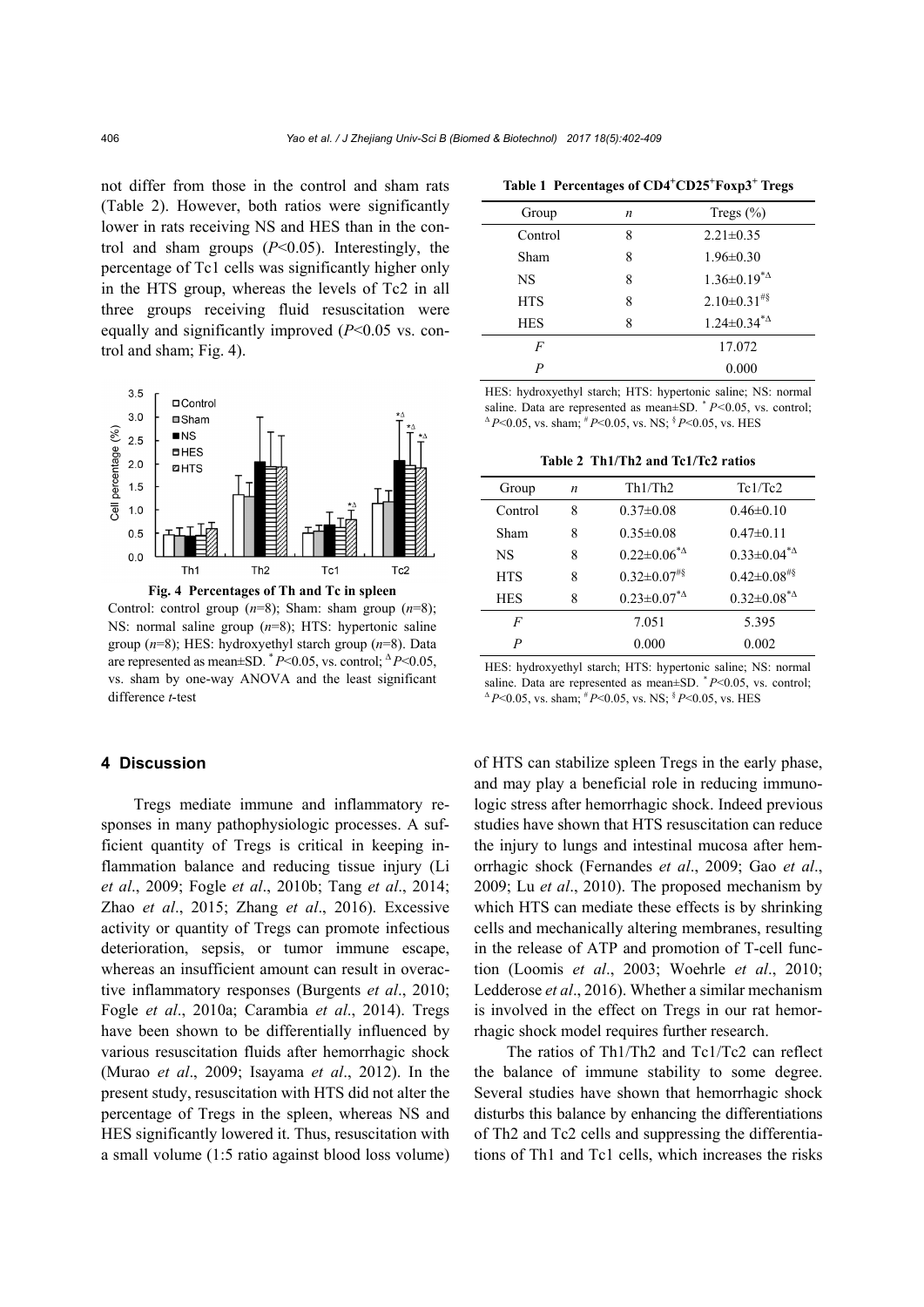not differ from those in the control and sham rats (Table 2). However, both ratios were significantly lower in rats receiving NS and HES than in the control and sham groups (*P*<0.05). Interestingly, the percentage of Tc1 cells was significantly higher only in the HTS group, whereas the levels of Tc2 in all three groups receiving fluid resuscitation were equally and significantly improved (*P*<0.05 vs. control and sham; Fig. 4).



Control: control group (*n*=8); Sham: sham group (*n*=8); NS: normal saline group (*n*=8); HTS: hypertonic saline group (*n*=8); HES: hydroxyethyl starch group (*n*=8). Data are represented as mean $\pm$ SD.  $^*P$  < 0.05, vs. control;  $^{\Delta}P$  < 0.05, vs. sham by one-way ANOVA and the least significant difference *t*-test

# **4 Discussion**

Tregs mediate immune and inflammatory responses in many pathophysiologic processes. A sufficient quantity of Tregs is critical in keeping inflammation balance and reducing tissue injury (Li *et al*., 2009; Fogle *et al*., 2010b; Tang *et al*., 2014; Zhao *et al*., 2015; Zhang *et al*., 2016). Excessive activity or quantity of Tregs can promote infectious deterioration, sepsis, or tumor immune escape, whereas an insufficient amount can result in overactive inflammatory responses (Burgents *et al*., 2010; Fogle *et al*., 2010a; Carambia *et al*., 2014). Tregs have been shown to be differentially influenced by various resuscitation fluids after hemorrhagic shock (Murao *et al*., 2009; Isayama *et al*., 2012). In the present study, resuscitation with HTS did not alter the percentage of Tregs in the spleen, whereas NS and HES significantly lowered it. Thus, resuscitation with a small volume (1:5 ratio against blood loss volume)

**Table 1 Percentages of CD4+ CD25<sup>+</sup> Foxp3<sup>+</sup> Tregs** 

| Group      | n | Tregs $(\% )$                             |
|------------|---|-------------------------------------------|
| Control    | 8 | $2.21 \pm 0.35$                           |
| Sham       | 8 | $1.96 \pm 0.30$                           |
| NS         | 8 | $1.36 \pm 0.19^{*4}$                      |
| <b>HTS</b> | 8 | $2.10 \pm 0.31$ <sup>#§</sup>             |
| <b>HES</b> | 8 | $1.24 \pm 0.34$ <sup>*</sup> <sup>4</sup> |
| F          |   | 17.072                                    |
| P          |   | 0.000                                     |

HES: hydroxyethyl starch; HTS: hypertonic saline; NS: normal saline. Data are represented as mean±SD.  $P<0.05$ , vs. control;  $^{\Delta}P$  < 0.05, vs. sham;  $^{\#}P$  < 0.05, vs. NS;  $^{\$}P$  < 0.05, vs. HES

**Table 2 Th1/Th2 and Tc1/Tc2 ratios**

| Group            | n | Th1/Th2                                                  | Tc1/Tc2                                                  |
|------------------|---|----------------------------------------------------------|----------------------------------------------------------|
| Control          | 8 | $0.37 \pm 0.08$                                          | $0.46\pm0.10$                                            |
| Sham             | 8 | $0.35 \pm 0.08$                                          | $0.47\pm0.11$                                            |
| NS               | 8 | $0.22 \pm 0.06^{\ast}$ <sup><math>\triangle</math></sup> | $0.33 \pm 0.04^{\ast}$ <sup><math>\Delta</math></sup>    |
| <b>HTS</b>       | 8 | $0.32 \pm 0.07$ <sup>#§</sup>                            | $0.42 \pm 0.08$ <sup>#§</sup>                            |
| <b>HES</b>       | 8 | $0.23 \pm 0.07^{\ast}$ <sup><math>\triangle</math></sup> | $0.32 \pm 0.08^{\ast}$ <sup><math>\triangle</math></sup> |
| F                |   | 7.051                                                    | 5.395                                                    |
| $\boldsymbol{P}$ |   | 0.000                                                    | 0.002                                                    |
|                  |   |                                                          |                                                          |

HES: hydroxyethyl starch; HTS: hypertonic saline; NS: normal saline. Data are represented as mean±SD.  $P$  < 0.05, vs. control; <sup>∆</sup> *P*<0.05, vs. sham; # *P*<0.05, vs. NS; § *P*<0.05, vs. HES

of HTS can stabilize spleen Tregs in the early phase, and may play a beneficial role in reducing immunologic stress after hemorrhagic shock. Indeed previous studies have shown that HTS resuscitation can reduce the injury to lungs and intestinal mucosa after hemorrhagic shock (Fernandes *et al*., 2009; Gao *et al*., 2009; Lu *et al*., 2010). The proposed mechanism by which HTS can mediate these effects is by shrinking cells and mechanically altering membranes, resulting in the release of ATP and promotion of T-cell function (Loomis *et al*., 2003; Woehrle *et al*., 2010; Ledderose *et al*., 2016). Whether a similar mechanism is involved in the effect on Tregs in our rat hemorrhagic shock model requires further research.

The ratios of Th1/Th2 and Tc1/Tc2 can reflect the balance of immune stability to some degree. Several studies have shown that hemorrhagic shock disturbs this balance by enhancing the differentiations of Th2 and Tc2 cells and suppressing the differentiations of Th1 and Tc1 cells, which increases the risks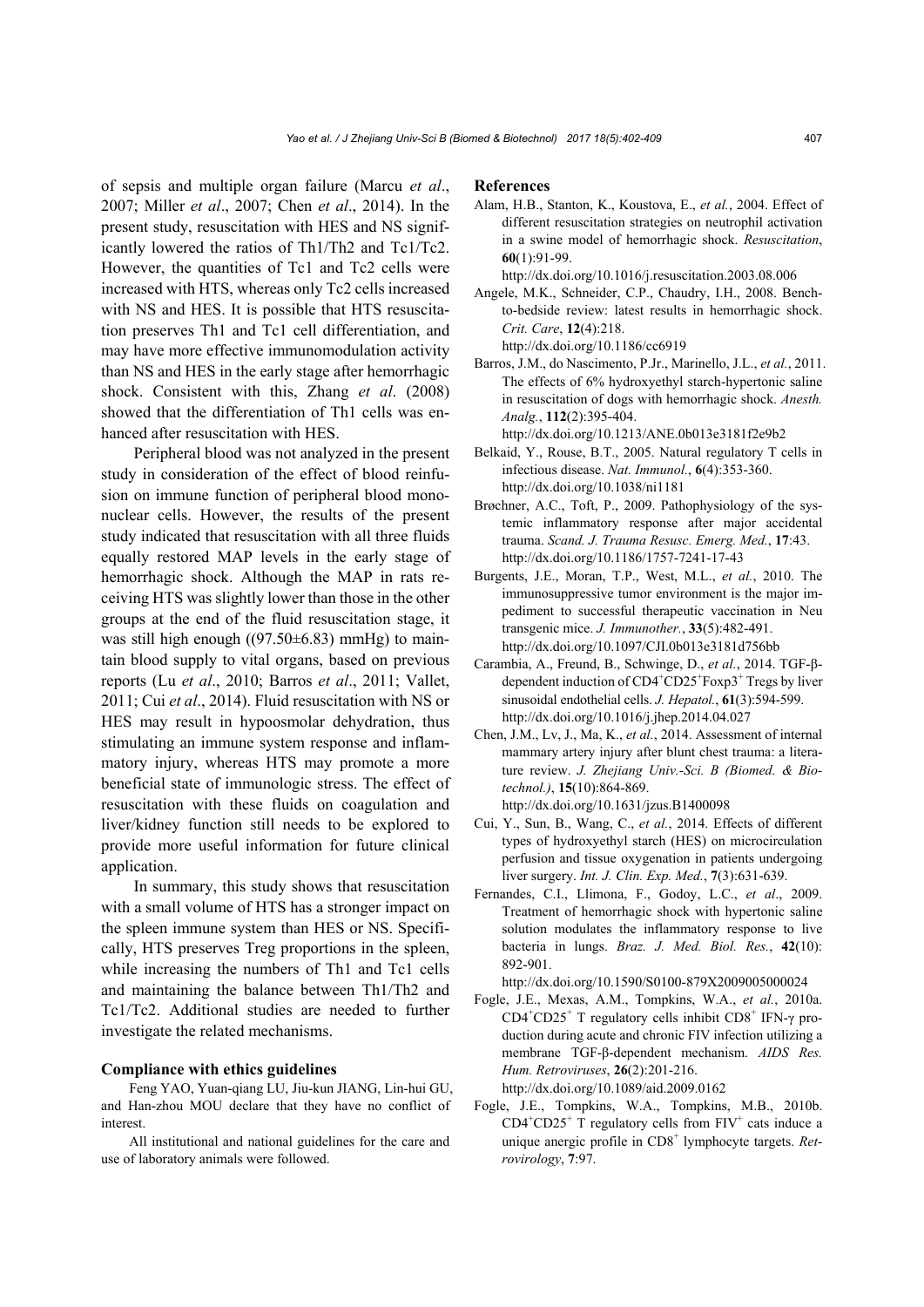of sepsis and multiple organ failure (Marcu *et al*., 2007; Miller *et al*., 2007; Chen *et al*., 2014). In the present study, resuscitation with HES and NS significantly lowered the ratios of Th1/Th2 and Tc1/Tc2. However, the quantities of Tc1 and Tc2 cells were increased with HTS, whereas only Tc2 cells increased with NS and HES. It is possible that HTS resuscitation preserves Th1 and Tc1 cell differentiation, and may have more effective immunomodulation activity than NS and HES in the early stage after hemorrhagic shock. Consistent with this, Zhang *et al*. (2008) showed that the differentiation of Th1 cells was enhanced after resuscitation with HES.

Peripheral blood was not analyzed in the present study in consideration of the effect of blood reinfusion on immune function of peripheral blood mononuclear cells. However, the results of the present study indicated that resuscitation with all three fluids equally restored MAP levels in the early stage of hemorrhagic shock. Although the MAP in rats receiving HTS was slightly lower than those in the other groups at the end of the fluid resuscitation stage, it was still high enough  $((97.50 \pm 6.83)$  mmHg) to maintain blood supply to vital organs, based on previous reports (Lu *et al*., 2010; Barros *et al*., 2011; Vallet, 2011; Cui *et al*., 2014). Fluid resuscitation with NS or HES may result in hypoosmolar dehydration, thus stimulating an immune system response and inflammatory injury, whereas HTS may promote a more beneficial state of immunologic stress. The effect of resuscitation with these fluids on coagulation and liver/kidney function still needs to be explored to provide more useful information for future clinical application.

In summary, this study shows that resuscitation with a small volume of HTS has a stronger impact on the spleen immune system than HES or NS. Specifically, HTS preserves Treg proportions in the spleen, while increasing the numbers of Th1 and Tc1 cells and maintaining the balance between Th1/Th2 and Tc1/Tc2. Additional studies are needed to further investigate the related mechanisms.

#### **Compliance with ethics guidelines**

Feng YAO, Yuan-qiang LU, Jiu-kun JIANG, Lin-hui GU, and Han-zhou MOU declare that they have no conflict of interest.

All institutional and national guidelines for the care and use of laboratory animals were followed.

#### **References**

Alam, H.B., Stanton, K., Koustova, E., *et al.*, 2004. Effect of different resuscitation strategies on neutrophil activation in a swine model of hemorrhagic shock. *Resuscitation*, **60**(1):91-99.

http://dx.doi.org/10.1016/j.resuscitation.2003.08.006

Angele, M.K., Schneider, C.P., Chaudry, I.H., 2008. Benchto-bedside review: latest results in hemorrhagic shock. *Crit. Care*, **12**(4):218.

http://dx.doi.org/10.1186/cc6919

Barros, J.M., do Nascimento, P.Jr., Marinello, J.L., *et al.*, 2011. The effects of 6% hydroxyethyl starch-hypertonic saline in resuscitation of dogs with hemorrhagic shock. *Anesth. Analg.*, **112**(2):395-404.

http://dx.doi.org/10.1213/ANE.0b013e3181f2e9b2

- Belkaid, Y., Rouse, B.T., 2005. Natural regulatory T cells in infectious disease. *Nat. Immunol.*, **6**(4):353-360. http://dx.doi.org/10.1038/ni1181
- Brøchner, A.C., Toft, P., 2009. Pathophysiology of the systemic inflammatory response after major accidental trauma. *Scand. J. Trauma Resusc. Emerg. Med.*, **17**:43. http://dx.doi.org/10.1186/1757-7241-17-43
- Burgents, J.E., Moran, T.P., West, M.L., *et al.*, 2010. The immunosuppressive tumor environment is the major impediment to successful therapeutic vaccination in Neu transgenic mice. *J. Immunother.*, **33**(5):482-491. http://dx.doi.org/10.1097/CJI.0b013e3181d756bb
- Carambia, A., Freund, B., Schwinge, D., *et al.*, 2014. TGF-βdependent induction of  $CD4^+CD25^+$  Foxp3<sup>+</sup> Tregs by liver sinusoidal endothelial cells. *J. Hepatol.*, **61**(3):594-599. http://dx.doi.org/10.1016/j.jhep.2014.04.027
- Chen, J.M., Lv, J., Ma, K., *et al.*, 2014. Assessment of internal mammary artery injury after blunt chest trauma: a literature review. *J. Zhejiang Univ.-Sci. B (Biomed. & Biotechnol.)*, **15**(10):864-869. http://dx.doi.org/10.1631/jzus.B1400098
- Cui, Y., Sun, B., Wang, C., *et al.*, 2014. Effects of different types of hydroxyethyl starch (HES) on microcirculation perfusion and tissue oxygenation in patients undergoing liver surgery. *Int. J. Clin. Exp. Med.*, **7**(3):631-639.
- Fernandes, C.I., Llimona, F., Godoy, L.C., *et al*., 2009. Treatment of hemorrhagic shock with hypertonic saline solution modulates the inflammatory response to live bacteria in lungs. *Braz. J. Med. Biol. Res.*, **42**(10): 892-901.

http://dx.doi.org/10.1590/S0100-879X2009005000024

Fogle, J.E., Mexas, A.M., Tompkins, W.A., *et al.*, 2010a. CD4<sup>+</sup>CD25<sup>+</sup> T regulatory cells inhibit CD8<sup>+</sup> IFN-γ production during acute and chronic FIV infection utilizing a membrane TGF-β-dependent mechanism. *AIDS Res. Hum. Retroviruses*, **26**(2):201-216.

http://dx.doi.org/10.1089/aid.2009.0162

Fogle, J.E., Tompkins, W.A., Tompkins, M.B., 2010b.  $CD4^+CD25^+$  T regulatory cells from  $FIV^+$  cats induce a unique anergic profile in CD8<sup>+</sup> lymphocyte targets. *Retrovirology*, **7**:97.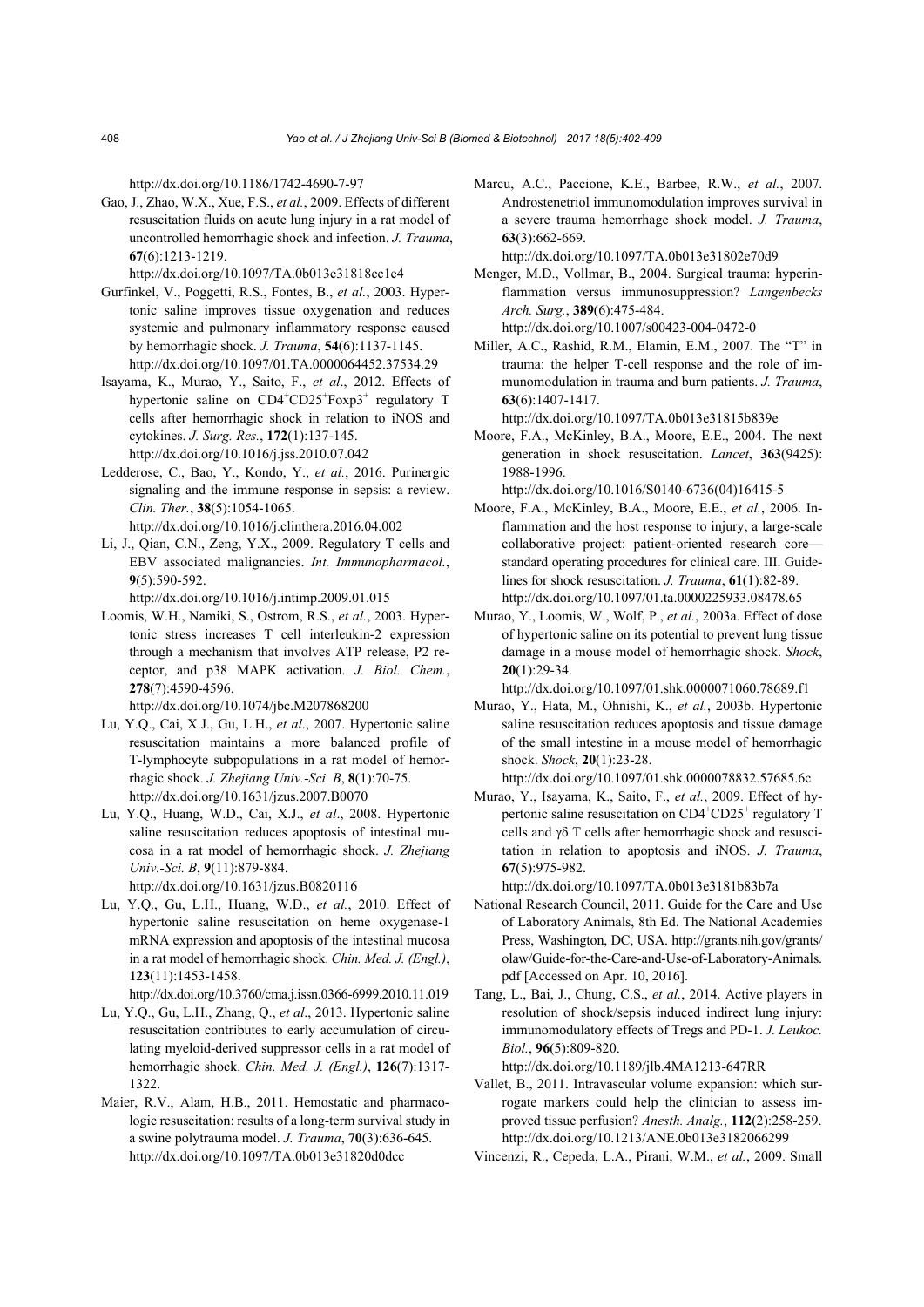http://dx.doi.org/10.1186/1742-4690-7-97

Gao, J., Zhao, W.X., Xue, F.S., *et al.*, 2009. Effects of different resuscitation fluids on acute lung injury in a rat model of uncontrolled hemorrhagic shock and infection. *J. Trauma*, **67**(6):1213-1219.

http://dx.doi.org/10.1097/TA.0b013e31818cc1e4

- Gurfinkel, V., Poggetti, R.S., Fontes, B., *et al.*, 2003. Hypertonic saline improves tissue oxygenation and reduces systemic and pulmonary inflammatory response caused by hemorrhagic shock. *J. Trauma*, **54**(6):1137-1145. http://dx.doi.org/10.1097/01.TA.0000064452.37534.29
- Isayama, K., Murao, Y., Saito, F., *et al*., 2012. Effects of hypertonic saline on CD4<sup>+</sup>CD25<sup>+</sup>Foxp3<sup>+</sup> regulatory T cells after hemorrhagic shock in relation to iNOS and cytokines. *J. Surg. Res.*, **172**(1):137-145. http://dx.doi.org/10.1016/j.jss.2010.07.042
- Ledderose, C., Bao, Y., Kondo, Y., *et al.*, 2016. Purinergic signaling and the immune response in sepsis: a review. *Clin. Ther.*, **38**(5):1054-1065. http://dx.doi.org/10.1016/j.clinthera.2016.04.002
- Li, J., Qian, C.N., Zeng, Y.X., 2009. Regulatory T cells and EBV associated malignancies. *Int. Immunopharmacol.*, **9**(5):590-592.

http://dx.doi.org/10.1016/j.intimp.2009.01.015

Loomis, W.H., Namiki, S., Ostrom, R.S., *et al.*, 2003. Hypertonic stress increases T cell interleukin-2 expression through a mechanism that involves ATP release, P2 receptor, and p38 MAPK activation. *J. Biol. Chem.*, **278**(7):4590-4596.

http://dx.doi.org/10.1074/jbc.M207868200

- Lu, Y.Q., Cai, X.J., Gu, L.H., *et al*., 2007. Hypertonic saline resuscitation maintains a more balanced profile of T-lymphocyte subpopulations in a rat model of hemorrhagic shock. *J. Zhejiang Univ.-Sci. B*, **8**(1):70-75. http://dx.doi.org/10.1631/jzus.2007.B0070
- Lu, Y.Q., Huang, W.D., Cai, X.J., *et al*., 2008. Hypertonic saline resuscitation reduces apoptosis of intestinal mucosa in a rat model of hemorrhagic shock. *J. Zhejiang Univ.-Sci. B*, **9**(11):879-884.

http://dx.doi.org/10.1631/jzus.B0820116

Lu, Y.Q., Gu, L.H., Huang, W.D., *et al.*, 2010. Effect of hypertonic saline resuscitation on heme oxygenase-1 mRNA expression and apoptosis of the intestinal mucosa in a rat model of hemorrhagic shock. *Chin. Med. J. (Engl.)*, **123**(11):1453-1458.

http://dx.doi.org/10.3760/cma.j.issn.0366-6999.2010.11.019

- Lu, Y.Q., Gu, L.H., Zhang, Q., *et al*., 2013. Hypertonic saline resuscitation contributes to early accumulation of circulating myeloid-derived suppressor cells in a rat model of hemorrhagic shock. *Chin. Med. J. (Engl.)*, **126**(7):1317- 1322.
- Maier, R.V., Alam, H.B., 2011. Hemostatic and pharmacologic resuscitation: results of a long-term survival study in a swine polytrauma model. *J. Trauma*, **70**(3):636-645. http://dx.doi.org/10.1097/TA.0b013e31820d0dcc

Marcu, A.C., Paccione, K.E., Barbee, R.W., *et al.*, 2007. Androstenetriol immunomodulation improves survival in a severe trauma hemorrhage shock model. *J. Trauma*, **63**(3):662-669.

http://dx.doi.org/10.1097/TA.0b013e31802e70d9

- Menger, M.D., Vollmar, B., 2004. Surgical trauma: hyperinflammation versus immunosuppression? *Langenbecks Arch. Surg.*, **389**(6):475-484. http://dx.doi.org/10.1007/s00423-004-0472-0
- Miller, A.C., Rashid, R.M., Elamin, E.M., 2007. The "T" in trauma: the helper T-cell response and the role of immunomodulation in trauma and burn patients. *J. Trauma*, **63**(6):1407-1417.

http://dx.doi.org/10.1097/TA.0b013e31815b839e

Moore, F.A., McKinley, B.A., Moore, E.E., 2004. The next generation in shock resuscitation. *Lancet*, **363**(9425): 1988-1996.

http://dx.doi.org/10.1016/S0140-6736(04)16415-5

- Moore, F.A., McKinley, B.A., Moore, E.E., *et al.*, 2006. Inflammation and the host response to injury, a large-scale collaborative project: patient-oriented research core standard operating procedures for clinical care. III. Guidelines for shock resuscitation. *J. Trauma*, **61**(1):82-89. http://dx.doi.org/10.1097/01.ta.0000225933.08478.65
- Murao, Y., Loomis, W., Wolf, P., *et al.*, 2003a. Effect of dose of hypertonic saline on its potential to prevent lung tissue damage in a mouse model of hemorrhagic shock. *Shock*, **20**(1):29-34.

http://dx.doi.org/10.1097/01.shk.0000071060.78689.f1

Murao, Y., Hata, M., Ohnishi, K., *et al.*, 2003b. Hypertonic saline resuscitation reduces apoptosis and tissue damage of the small intestine in a mouse model of hemorrhagic shock. *Shock*, **20**(1):23-28.

http://dx.doi.org/10.1097/01.shk.0000078832.57685.6c

Murao, Y., Isayama, K., Saito, F., *et al.*, 2009. Effect of hypertonic saline resuscitation on CD4<sup>+</sup>CD25<sup>+</sup> regulatory T cells and γδ T cells after hemorrhagic shock and resuscitation in relation to apoptosis and iNOS. *J. Trauma*, **67**(5):975-982.

http://dx.doi.org/10.1097/TA.0b013e3181b83b7a

- National Research Council, 2011. Guide for the Care and Use of Laboratory Animals, 8th Ed. The National Academies Press, Washington, DC, USA. http://grants.nih.gov/grants/ olaw/Guide-for-the-Care-and-Use-of-Laboratory-Animals. pdf [Accessed on Apr. 10, 2016].
- Tang, L., Bai, J., Chung, C.S., *et al.*, 2014. Active players in resolution of shock/sepsis induced indirect lung injury: immunomodulatory effects of Tregs and PD-1. *J. Leukoc. Biol.*, **96**(5):809-820.

http://dx.doi.org/10.1189/jlb.4MA1213-647RR

- Vallet, B., 2011. Intravascular volume expansion: which surrogate markers could help the clinician to assess improved tissue perfusion? *Anesth. Analg.*, **112**(2):258-259. http://dx.doi.org/10.1213/ANE.0b013e3182066299
- Vincenzi, R., Cepeda, L.A., Pirani, W.M., *et al.*, 2009. Small